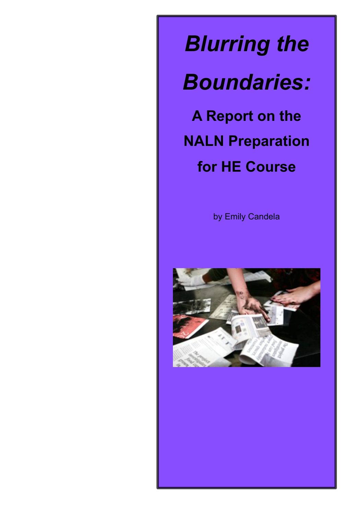*Blurring the* 

*Boundaries:* 

**A Report on the NALN Preparation for HE Course**

by Emily Candela

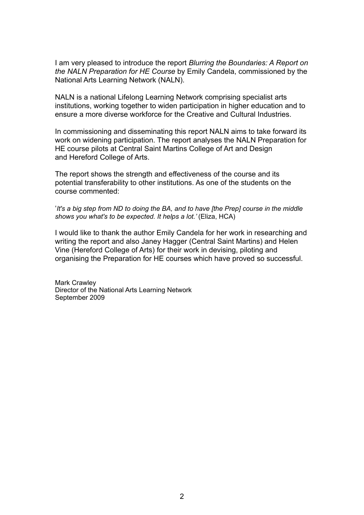I am very pleased to introduce the report *Blurring the Boundaries: A Report on the NALN Preparation for HE Course* by Emily Candela, commissioned by the National Arts Learning Network (NALN).

NALN is a national Lifelong Learning Network comprising specialist arts institutions, working together to widen participation in higher education and to ensure a more diverse workforce for the Creative and Cultural Industries.

In commissioning and disseminating this report NALN aims to take forward its work on widening participation. The report analyses the NALN Preparation for HE course pilots at Central Saint Martins College of Art and Design and Hereford College of Arts.

The report shows the strength and effectiveness of the course and its potential transferability to other institutions. As one of the students on the course commented:

'*It's a big step from ND to doing the BA, and to have [the Prep] course in the middle shows you what's to be expected. It helps a lot.'* (Eliza, HCA)

I would like to thank the author Emily Candela for her work in researching and writing the report and also Janey Hagger (Central Saint Martins) and Helen Vine (Hereford College of Arts) for their work in devising, piloting and organising the Preparation for HE courses which have proved so successful.

Mark Crawley Director of the National Arts Learning Network September 2009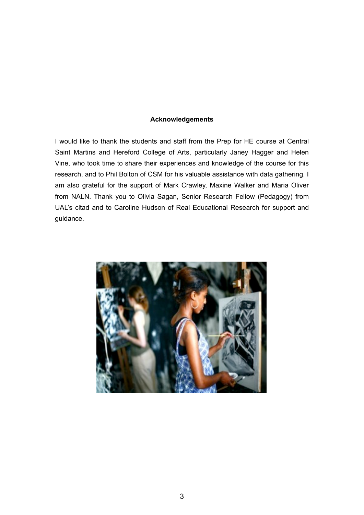#### **Acknowledgements**

I would like to thank the students and staff from the Prep for HE course at Central Saint Martins and Hereford College of Arts, particularly Janey Hagger and Helen Vine, who took time to share their experiences and knowledge of the course for this research, and to Phil Bolton of CSM for his valuable assistance with data gathering. I am also grateful for the support of Mark Crawley, Maxine Walker and Maria Oliver from NALN. Thank you to Olivia Sagan, Senior Research Fellow (Pedagogy) from UAL's cltad and to Caroline Hudson of Real Educational Research for support and guidance.

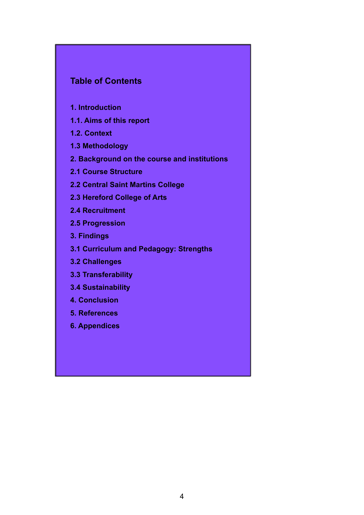# **Table of Contents**

- **1. Introduction**
- **1.1. Aims of this report**
- **1.2. Context**
- **1.3 Methodology**
- **2. Background on the course and institutions**
- **2.1 Course Structure**
- **2.2 Central Saint Martins College**
- **2.3 Hereford College of Arts**
- **2.4 Recruitment**
- **2.5 Progression**
- **3. Findings**
- **3.1 Curriculum and Pedagogy: Strengths**
- **3.2 Challenges**
- **3.3 Transferability**
- **3.4 Sustainability**
- **4. Conclusion**
- **5. References**
- **6. Appendices**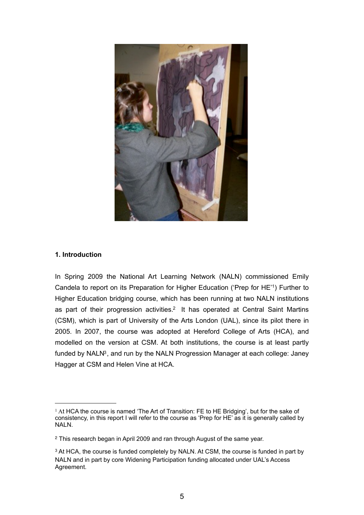

#### **1. Introduction**

In Spring 2009 the National Art Learning Network (NALN) commissioned Emily Candela to report on its Preparation for Higher Education ('Prep for HE['1](#page-4-0)) Further to Higher Education bridging course, which has been running at two NALN institutions as part of their progression activities.<sup>2</sup> It has operated at Central Saint Martins (CSM), which is part of University of the Arts London (UAL), since its pilot there in 2005. In 2007, the course was adopted at Hereford College of Arts (HCA), and modelled on the version at CSM. At both institutions, the course is at least partly funded by NALN<sup>3</sup>, and run by the NALN Progression Manager at each college: Janey Hagger at CSM and Helen Vine at HCA.

<span id="page-4-0"></span><sup>&</sup>lt;sup>1</sup> At HCA the course is named 'The Art of Transition: FE to HE Bridging', but for the sake of consistency, in this report I will refer to the course as 'Prep for HE' as it is generally called by NALN.

<span id="page-4-1"></span><sup>2</sup> This research began in April 2009 and ran through August of the same year.

<span id="page-4-2"></span><sup>&</sup>lt;sup>3</sup> At HCA, the course is funded completely by NALN. At CSM, the course is funded in part by NALN and in part by core Widening Participation funding allocated under UAL's Access Agreement.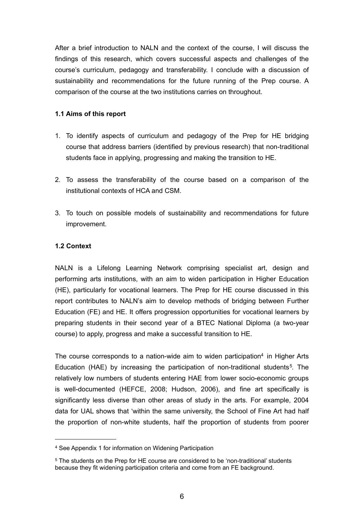After a brief introduction to NALN and the context of the course, I will discuss the findings of this research, which covers successful aspects and challenges of the course's curriculum, pedagogy and transferability. I conclude with a discussion of sustainability and recommendations for the future running of the Prep course. A comparison of the course at the two institutions carries on throughout.

#### **1.1 Aims of this report**

- 1. To identify aspects of curriculum and pedagogy of the Prep for HE bridging course that address barriers (identified by previous research) that non-traditional students face in applying, progressing and making the transition to HE.
- 2. To assess the transferability of the course based on a comparison of the institutional contexts of HCA and CSM.
- 3. To touch on possible models of sustainability and recommendations for future improvement.

### **1.2 Context**

NALN is a Lifelong Learning Network comprising specialist art, design and performing arts institutions, with an aim to widen participation in Higher Education (HE), particularly for vocational learners. The Prep for HE course discussed in this report contributes to NALN's aim to develop methods of bridging between Further Education (FE) and HE. It offers progression opportunities for vocational learners by preparing students in their second year of a BTEC National Diploma (a two-year course) to apply, progress and make a successful transition to HE.

The course corresponds to a nation-wide aim to widen participation<sup>4</sup> in Higher Arts Education (HAE) by increasing the participation of non-traditional students<sup>[5](#page-5-1)</sup>. The relatively low numbers of students entering HAE from lower socio-economic groups is well-documented (HEFCE, 2008; Hudson, 2006), and fine art specifically is significantly less diverse than other areas of study in the arts. For example, 2004 data for UAL shows that 'within the same university, the School of Fine Art had half the proportion of non-white students, half the proportion of students from poorer

<span id="page-5-0"></span><sup>4</sup> See Appendix 1 for information on Widening Participation

<span id="page-5-1"></span><sup>5</sup> The students on the Prep for HE course are considered to be 'non-traditional' students because they fit widening participation criteria and come from an FE background.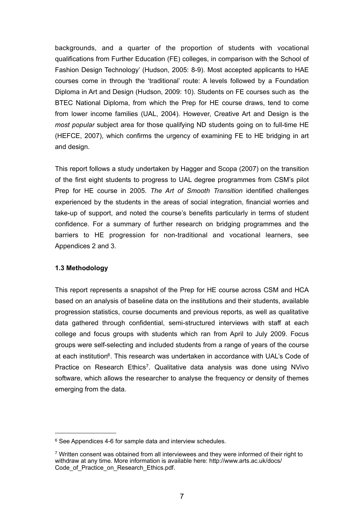backgrounds, and a quarter of the proportion of students with vocational qualifications from Further Education (FE) colleges, in comparison with the School of Fashion Design Technology' (Hudson, 2005: 8-9). Most accepted applicants to HAE courses come in through the 'traditional' route: A levels followed by a Foundation Diploma in Art and Design (Hudson, 2009: 10). Students on FE courses such as the BTEC National Diploma, from which the Prep for HE course draws, tend to come from lower income families (UAL, 2004). However, Creative Art and Design is the *most popular* subject area for those qualifying ND students going on to full-time HE (HEFCE, 2007), which confirms the urgency of examining FE to HE bridging in art and design.

This report follows a study undertaken by Hagger and Scopa (2007) on the transition of the first eight students to progress to UAL degree programmes from CSM's pilot Prep for HE course in 2005. *The Art of Smooth Transition* identified challenges experienced by the students in the areas of social integration, financial worries and take-up of support, and noted the course's benefits particularly in terms of student confidence. For a summary of further research on bridging programmes and the barriers to HE progression for non-traditional and vocational learners, see Appendices 2 and 3.

#### **1.3 Methodology**

This report represents a snapshot of the Prep for HE course across CSM and HCA based on an analysis of baseline data on the institutions and their students, available progression statistics, course documents and previous reports, as well as qualitative data gathered through confidential, semi-structured interviews with staff at each college and focus groups with students which ran from April to July 2009. Focus groups were self-selecting and included students from a range of years of the course at each institutio[n6.](#page-6-0) This research was undertaken in accordance with UAL's Code of Practice on Research Ethics[7](#page-6-1). Qualitative data analysis was done using NVivo software, which allows the researcher to analyse the frequency or density of themes emerging from the data.

<span id="page-6-0"></span><sup>&</sup>lt;sup>6</sup> See Appendices 4-6 for sample data and interview schedules.

<span id="page-6-1"></span><sup>7</sup> Written consent was obtained from all interviewees and they were informed of their right to withdraw at any time. More information is available here: [http://www.arts.ac.uk/docs/](http://www.arts.ac.uk/docs/Code_of_Practice_on_Research_Ethics.pdf) Code of Practice on Research Ethics.pdf.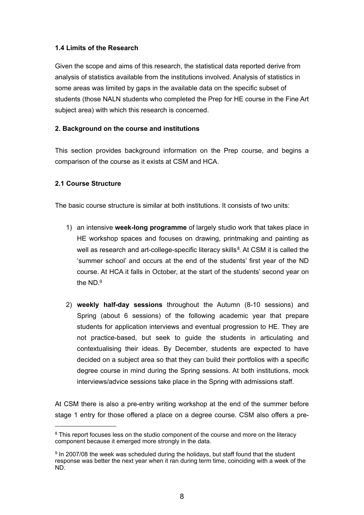# **1.4 Limits of the Research**

Given the scope and aims of this research, the statistical data reported derive from analysis of statistics available from the institutions involved. Analysis of statistics in some areas was limited by gaps in the available data on the specific subset of students (those NALN students who completed the Prep for HE course in the Fine Art subject area) with which this research is concerned.

# **2. Background on the course and institutions**

This section provides background information on the Prep course, and begins a comparison of the course as it exists at CSM and HCA.

# **2.1 Course Structure**

The basic course structure is similar at both institutions. It consists of two units:

- 1) an intensive **week-long programme** of largely studio work that takes place in HE workshop spaces and focuses on drawing, printmaking and painting as well as research and art-college-specific literacy skills<sup>[8](#page-7-0)</sup>. At CSM it is called the 'summer school' and occurs at the end of the students' first year of the ND course. At HCA it falls in October, at the start of the students' second year on the ND[.9](#page-7-1)
- 2) **weekly half-day sessions** throughout the Autumn (8-10 sessions) and Spring (about 6 sessions) of the following academic year that prepare students for application interviews and eventual progression to HE. They are not practice-based, but seek to guide the students in articulating and contextualising their ideas. By December, students are expected to have decided on a subject area so that they can build their portfolios with a specific degree course in mind during the Spring sessions. At both institutions, mock interviews/advice sessions take place in the Spring with admissions staff.

At CSM there is also a pre-entry writing workshop at the end of the summer before stage 1 entry for those offered a place on a degree course. CSM also offers a pre-

<span id="page-7-0"></span><sup>&</sup>lt;sup>8</sup> This report focuses less on the studio component of the course and more on the literacy component because it emerged more strongly in the data.

<span id="page-7-1"></span><sup>9</sup> In 2007/08 the week was scheduled during the holidays, but staff found that the student response was better the next year when it ran during term time, coinciding with a week of the ND.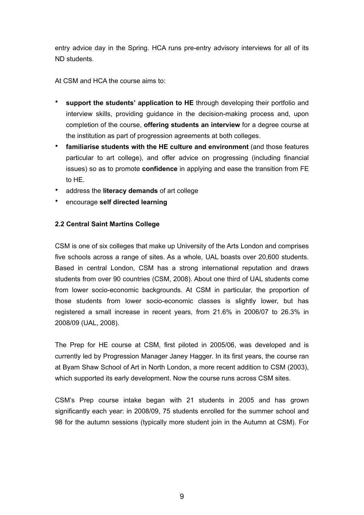entry advice day in the Spring. HCA runs pre-entry advisory interviews for all of its ND students.

At CSM and HCA the course aims to:

- **support the students' application to HE** through developing their portfolio and interview skills, providing guidance in the decision-making process and, upon completion of the course, **offering students an interview** for a degree course at the institution as part of progression agreements at both colleges.
- **familiarise students with the HE culture and environment** (and those features particular to art college), and offer advice on progressing (including financial issues) so as to promote **confidence** in applying and ease the transition from FE to HE.
- address the **literacy demands** of art college
- encourage **self directed learning**

# **2.2 Central Saint Martins College**

CSM is one of six colleges that make up University of the Arts London and comprises five schools across a range of sites. As a whole, UAL boasts over 20,600 students. Based in central London, CSM has a strong international reputation and draws students from over 90 countries ([CSM, 2008](http://www.csm.arts.ac.uk/csm-international.htm)). About one third of UAL students come from lower socio-economic backgrounds. At CSM in particular, the proportion of those students from lower socio-economic classes is slightly lower, but has registered a small increase in recent years, from 21.6% in 2006/07 to 26.3% in 2008/09 (UAL, 2008).

The Prep for HE course at CSM, first piloted in 2005/06, was developed and is currently led by Progression Manager Janey Hagger. In its first years, the course ran at Byam Shaw School of Art in North London, a more recent addition to CSM (2003), which supported its early development. Now the course runs across CSM sites.

CSM's Prep course intake began with 21 students in 2005 and has grown significantly each year: in 2008/09, 75 students enrolled for the summer school and 98 for the autumn sessions (typically more student join in the Autumn at CSM). For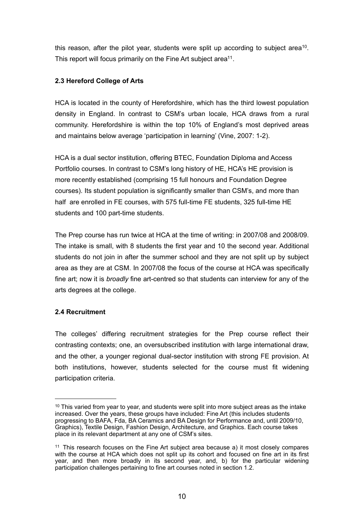this reason, after the pilot year, students were split up according to subject area<sup>[10](#page-9-0)</sup>. This report will focus primarily on the Fine Art subject area<sup>11</sup>.

# **2.3 Hereford College of Arts**

HCA is located in the county of Herefordshire, which has the third lowest population density in England. In contrast to CSM's urban locale, HCA draws from a rural community. Herefordshire is within the top 10% of England's most deprived areas and maintains below average 'participation in learning' (Vine, 2007: 1-2).

HCA is a dual sector institution, offering BTEC, Foundation Diploma and Access Portfolio courses. In contrast to CSM's long history of HE, HCA's HE provision is more recently established (comprising 15 full honours and Foundation Degree courses). Its student population is significantly smaller than CSM's, and more than half are enrolled in FE courses, with 575 full-time FE students, 325 full-time HE students and 100 part-time students.

The Prep course has run twice at HCA at the time of writing: in 2007/08 and 2008/09. The intake is small, with 8 students the first year and 10 the second year. Additional students do not join in after the summer school and they are not split up by subject area as they are at CSM. In 2007/08 the focus of the course at HCA was specifically fine art; now it is *broadly* fine art-centred so that students can interview for any of the arts degrees at the college.

# **2.4 Recruitment**

The colleges' differing recruitment strategies for the Prep course reflect their contrasting contexts; one, an oversubscribed institution with large international draw, and the other, a younger regional dual-sector institution with strong FE provision. At both institutions, however, students selected for the course must fit widening participation criteria.

<span id="page-9-0"></span> $10$  This varied from year to year, and students were split into more subject areas as the intake increased. Over the years, these groups have included: Fine Art (this includes students progressing to BAFA, Fda, BA Ceramics and BA Design for Performance and, until 2009/10, Graphics), Textile Design, Fashion Design, Architecture, and Graphics. Each course takes place in its relevant department at any one of CSM's sites.

<span id="page-9-1"></span><sup>11</sup> This research focuses on the Fine Art subject area because a) it most closely compares with the course at HCA which does not split up its cohort and focused on fine art in its first year, and then more broadly in its second year, and, b) for the particular widening participation challenges pertaining to fine art courses noted in section 1.2.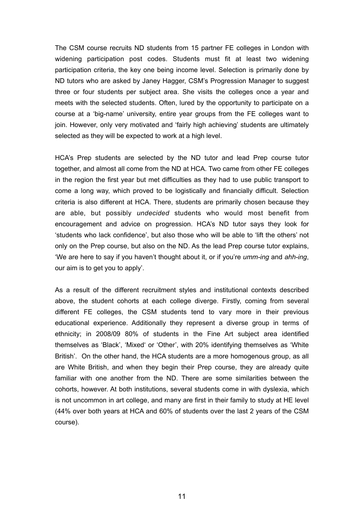The CSM course recruits ND students from 15 partner FE colleges in London with widening participation post codes. Students must fit at least two widening participation criteria, the key one being income level. Selection is primarily done by ND tutors who are asked by Janey Hagger, CSM's Progression Manager to suggest three or four students per subject area. She visits the colleges once a year and meets with the selected students. Often, lured by the opportunity to participate on a course at a 'big-name' university, entire year groups from the FE colleges want to join. However, only very motivated and 'fairly high achieving' students are ultimately selected as they will be expected to work at a high level.

HCA's Prep students are selected by the ND tutor and lead Prep course tutor together, and almost all come from the ND at HCA. Two came from other FE colleges in the region the first year but met difficulties as they had to use public transport to come a long way, which proved to be logistically and financially difficult. Selection criteria is also different at HCA. There, students are primarily chosen because they are able, but possibly *undecided* students who would most benefit from encouragement and advice on progression. HCA's ND tutor says they look for 'students who lack confidence', but also those who will be able to 'lift the others' not only on the Prep course, but also on the ND. As the lead Prep course tutor explains, 'We are here to say if you haven't thought about it, or if you're *umm-ing* and *ahh-ing*, our aim is to get you to apply'.

As a result of the different recruitment styles and institutional contexts described above, the student cohorts at each college diverge. Firstly, coming from several different FE colleges, the CSM students tend to vary more in their previous educational experience. Additionally they represent a diverse group in terms of ethnicity; in 2008/09 80% of students in the Fine Art subject area identified themselves as 'Black', 'Mixed' or 'Other', with 20% identifying themselves as 'White British'. On the other hand, the HCA students are a more homogenous group, as all are White British, and when they begin their Prep course, they are already quite familiar with one another from the ND. There are some similarities between the cohorts, however. At both institutions, several students come in with dyslexia, which is not uncommon in art college, and many are first in their family to study at HE level (44% over both years at HCA and 60% of students over the last 2 years of the CSM course).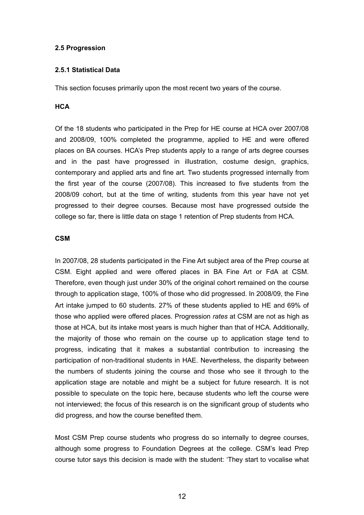### **2.5 Progression**

### **2.5.1 Statistical Data**

This section focuses primarily upon the most recent two years of the course.

### **HCA**

Of the 18 students who participated in the Prep for HE course at HCA over 2007/08 and 2008/09, 100% completed the programme, applied to HE and were offered places on BA courses. HCA's Prep students apply to a range of arts degree courses and in the past have progressed in illustration, costume design, graphics, contemporary and applied arts and fine art. Two students progressed internally from the first year of the course (2007/08). This increased to five students from the 2008/09 cohort, but at the time of writing, students from this year have not yet progressed to their degree courses. Because most have progressed outside the college so far, there is little data on stage 1 retention of Prep students from HCA.

#### **CSM**

In 2007/08, 28 students participated in the Fine Art subject area of the Prep course at CSM. Eight applied and were offered places in BA Fine Art or FdA at CSM. Therefore, even though just under 30% of the original cohort remained on the course through to application stage, 100% of those who did progressed. In 2008/09, the Fine Art intake jumped to 60 students. 27% of these students applied to HE and 69% of those who applied were offered places. Progression *rates* at CSM are not as high as those at HCA, but its intake most years is much higher than that of HCA. Additionally, the majority of those who remain on the course up to application stage tend to progress, indicating that it makes a substantial contribution to increasing the participation of non-traditional students in HAE. Nevertheless, the disparity between the numbers of students joining the course and those who see it through to the application stage are notable and might be a subject for future research. It is not possible to speculate on the topic here, because students who left the course were not interviewed; the focus of this research is on the significant group of students who did progress, and how the course benefited them.

Most CSM Prep course students who progress do so internally to degree courses, although some progress to Foundation Degrees at the college. CSM's lead Prep course tutor says this decision is made with the student: 'They start to vocalise what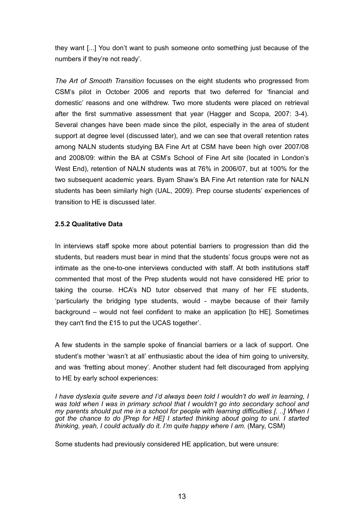they want [...] You don't want to push someone onto something just because of the numbers if they're not ready'.

*The Art of Smooth Transition* focusses on the eight students who progressed from CSM's pilot in October 2006 and reports that two deferred for 'financial and domestic' reasons and one withdrew. Two more students were placed on retrieval after the first summative assessment that year (Hagger and Scopa, 2007: 3-4). Several changes have been made since the pilot, especially in the area of student support at degree level (discussed later), and we can see that overall retention rates among NALN students studying BA Fine Art at CSM have been high over 2007/08 and 2008/09: within the BA at CSM's School of Fine Art site (located in London's West End), retention of NALN students was at 76% in 2006/07, but at 100% for the two subsequent academic years. Byam Shaw's BA Fine Art retention rate for NALN students has been similarly high (UAL, 2009). Prep course students' experiences of transition to HE is discussed later.

### **2.5.2 Qualitative Data**

In interviews staff spoke more about potential barriers to progression than did the students, but readers must bear in mind that the students' focus groups were not as intimate as the one-to-one interviews conducted with staff. At both institutions staff commented that most of the Prep students would not have considered HE prior to taking the course. HCA's ND tutor observed that many of her FE students, 'particularly the bridging type students, would - maybe because of their family background – would not feel confident to make an application [to HE]. Sometimes they can't find the £15 to put the UCAS together'.

A few students in the sample spoke of financial barriers or a lack of support. One student's mother 'wasn't at all' enthusiastic about the idea of him going to university, and was 'fretting about money'. Another student had felt discouraged from applying to HE by early school experiences:

*I have dyslexia quite severe and I'd always been told I wouldn't do well in learning, I was told when I was in primary school that I wouldn't go into secondary school and my parents should put me in a school for people with learning difficulties [. ..] When I*  got the chance to do [Prep for HE] I started thinking about going to uni. I started *thinking, yeah, I could actually do it. I'm quite happy where I am.* (Mary, CSM)

Some students had previously considered HE application, but were unsure: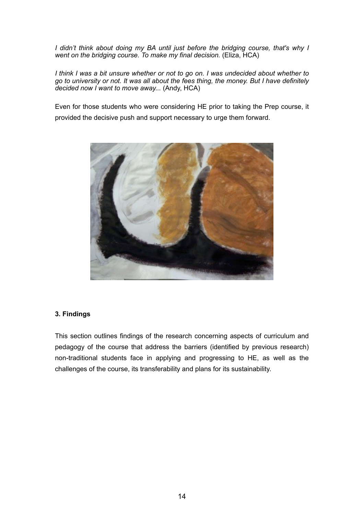*I didn't think about doing my BA until just before the bridging course, that's why I went on the bridging course. To make my final decision.* (Eliza, HCA)

*I think I was a bit unsure whether or not to go on. I was undecided about whether to go to university or not. It was all about the fees thing, the money. But I have definitely decided now I want to move away...* (Andy, HCA)

Even for those students who were considering HE prior to taking the Prep course, it provided the decisive push and support necessary to urge them forward.



#### **3. Findings**

This section outlines findings of the research concerning aspects of curriculum and pedagogy of the course that address the barriers (identified by previous research) non-traditional students face in applying and progressing to HE, as well as the challenges of the course, its transferability and plans for its sustainability.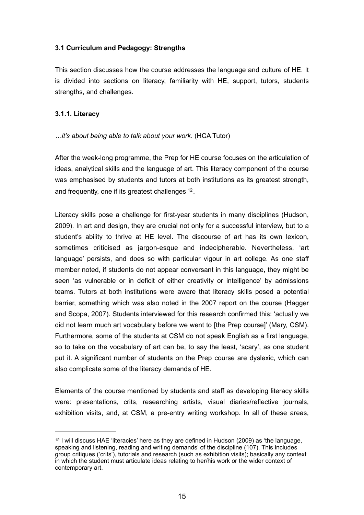### **3.1 Curriculum and Pedagogy: Strengths**

This section discusses how the course addresses the language and culture of HE. It is divided into sections on literacy, familiarity with HE, support, tutors, students strengths, and challenges.

#### **3.1.1. Literacy**

### *…it's about being able to talk about your work*. (HCA Tutor)

After the week-long programme, the Prep for HE course focuses on the articulation of ideas, analytical skills and the language of art. This literacy component of the course was emphasised by students and tutors at both institutions as its greatest strength, and frequently, one if its greatest challenges <sup>12</sup>.

Literacy skills pose a challenge for first-year students in many disciplines (Hudson, 2009). In art and design, they are crucial not only for a successful interview, but to a student's ability to thrive at HE level. The discourse of art has its own lexicon, sometimes criticised as jargon-esque and indecipherable. Nevertheless, 'art language' persists, and does so with particular vigour in art college. As one staff member noted, if students do not appear conversant in this language, they might be seen 'as vulnerable or in deficit of either creativity or intelligence' by admissions teams. Tutors at both institutions were aware that literacy skills posed a potential barrier, something which was also noted in the 2007 report on the course (Hagger and Scopa, 2007). Students interviewed for this research confirmed this: 'actually we did not learn much art vocabulary before we went to [the Prep course]' (Mary, CSM). Furthermore, some of the students at CSM do not speak English as a first language, so to take on the vocabulary of art can be, to say the least, 'scary', as one student put it. A significant number of students on the Prep course are dyslexic, which can also complicate some of the literacy demands of HE.

Elements of the course mentioned by students and staff as developing literacy skills were: presentations, crits, researching artists, visual diaries/reflective journals, exhibition visits, and, at CSM, a pre-entry writing workshop. In all of these areas,

<span id="page-14-0"></span><sup>12</sup> I will discuss HAE 'literacies' here as they are defined in Hudson (2009) as 'the language, speaking and listening, reading and writing demands' of the discipline (107). This includes group critiques ('crits'), tutorials and research (such as exhibition visits); basically any context in which the student must articulate ideas relating to her/his work or the wider context of contemporary art.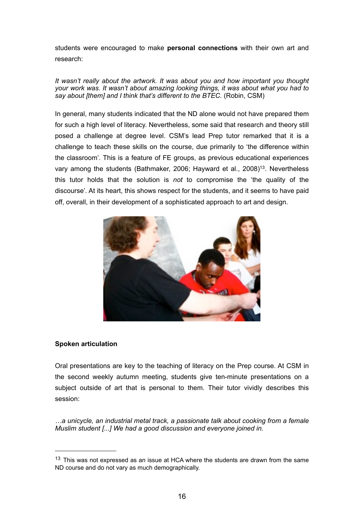students were encouraged to make **personal connections** with their own art and research:

*It wasn't really about the artwork. It was about you and how important you thought your work was. It wasn't about amazing looking things, it was about what you had to say about [them] and I think that's different to the BTEC.* (Robin, CSM)

In general, many students indicated that the ND alone would not have prepared them for such a high level of literacy. Nevertheless, some said that research and theory still posed a challenge at degree level. CSM's lead Prep tutor remarked that it is a challenge to teach these skills on the course, due primarily to 'the difference within the classroom'. This is a feature of FE groups, as previous educational experiences vary among the students (Bathmaker, 2006; Hayward et al., 2008[\)13](#page-15-0). Nevertheless this tutor holds that the solution is *not* to compromise the 'the quality of the discourse'*.* At its heart, this shows respect for the students, and it seems to have paid off, overall, in their development of a sophisticated approach to art and design.



#### **Spoken articulation**

Oral presentations are key to the teaching of literacy on the Prep course. At CSM in the second weekly autumn meeting, students give ten-minute presentations on a subject outside of art that is personal to them. Their tutor vividly describes this session:

*…a unicycle, an industrial metal track, a passionate talk about cooking from a female Muslim student [...] We had a good discussion and everyone joined in.* 

<span id="page-15-0"></span> $13$  This was not expressed as an issue at HCA where the students are drawn from the same ND course and do not vary as much demographically.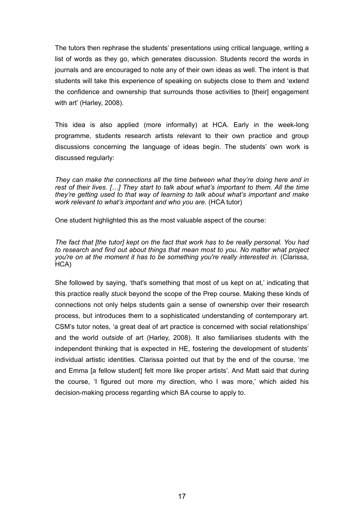The tutors then rephrase the students' presentations using critical language, writing a list of words as they go, which generates discussion. Students record the words in journals and are encouraged to note any of their own ideas as well. The intent is that students will take this experience of speaking on subjects close to them and 'extend the confidence and ownership that surrounds those activities to [their] engagement with art' (Harley, 2008).

This idea is also applied (more informally) at HCA. Early in the week-long programme, students research artists relevant to their own practice and group discussions concerning the language of ideas begin. The students' own work is discussed regularly:

*They can make the connections all the time between what they're doing here and in rest of their lives. […] They start to talk about what's important to them. All the time they're getting used to that way of learning to talk about what's important and make work relevant to what's important and who you are.* (HCA tutor)

One student highlighted this as the most valuable aspect of the course:

*The fact that [the tutor] kept on the fact that work has to be really personal. You had to research and find out about things that mean most to you. No matter what project you're on at the moment it has to be something you're really interested in.* (Clarissa, HCA)

She followed by saying, 'that's something that most of us kept on at,' indicating that this practice really *stuck* beyond the scope of the Prep course. Making these kinds of connections not only helps students gain a sense of ownership over their research process, but introduces them to a sophisticated understanding of contemporary art. CSM's tutor notes, 'a great deal of art practice is concerned with social relationships' and the world *outside* of art (Harley, 2008). It also familiarises students with the independent thinking that is expected in HE, fostering the development of students' individual artistic identities. Clarissa pointed out that by the end of the course, 'me and Emma [a fellow student] felt more like proper artists'. And Matt said that during the course, 'I figured out more my direction, who I was more,' which aided his decision-making process regarding which BA course to apply to.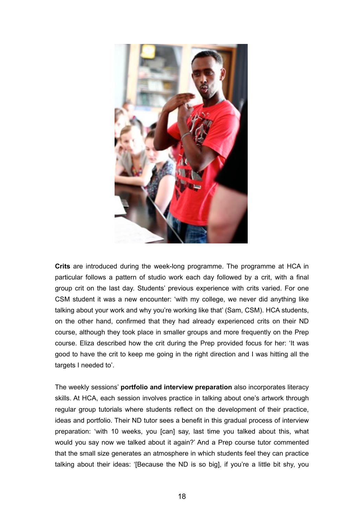

**Crits** are introduced during the week-long programme. The programme at HCA in particular follows a pattern of studio work each day followed by a crit, with a final group crit on the last day. Students' previous experience with crits varied. For one CSM student it was a new encounter: 'with my college, we never did anything like talking about your work and why you're working like that' (Sam, CSM). HCA students, on the other hand, confirmed that they had already experienced crits on their ND course, although they took place in smaller groups and more frequently on the Prep course. Eliza described how the crit during the Prep provided focus for her: 'It was good to have the crit to keep me going in the right direction and I was hitting all the targets I needed to'.

The weekly sessions' **portfolio and interview preparation** also incorporates literacy skills. At HCA, each session involves practice in talking about one's artwork through regular group tutorials where students reflect on the development of their practice, ideas and portfolio. Their ND tutor sees a benefit in this gradual process of interview preparation: 'with 10 weeks, you [can] say, last time you talked about this, what would you say now we talked about it again?' And a Prep course tutor commented that the small size generates an atmosphere in which students feel they can practice talking about their ideas: '[Because the ND is so big], if you're a little bit shy, you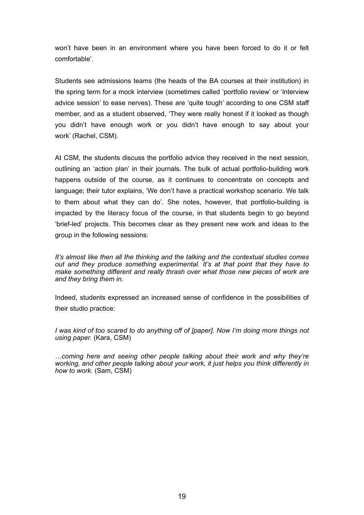won't have been in an environment where you have been forced to do it or felt comfortable'.

Students see admissions teams (the heads of the BA courses at their institution) in the spring term for a mock interview (sometimes called 'portfolio review' or 'interview advice session' to ease nerves). These are 'quite tough' according to one CSM staff member, and as a student observed, 'They were really honest if it looked as though you didn't have enough work or you didn't have enough to say about your work' (Rachel, CSM).

At CSM, the students discuss the portfolio advice they received in the next session, outlining an 'action plan' in their journals. The bulk of actual portfolio-building work happens outside of the course, as it continues to concentrate on concepts and language; their tutor explains, 'We don't have a practical workshop scenario. We talk to them about what they can do'. She notes, however, that portfolio-building is impacted by the literacy focus of the course, in that students begin to go beyond 'brief-led' projects. This becomes clear as they present new work and ideas to the group in the following sessions:

*It's almost like then all the thinking and the talking and the contextual studies comes out and they produce something experimental. It's at that point that they have to make something different and really thrash over what those new pieces of work are and they bring them in.*

Indeed, students expressed an increased sense of confidence in the possibilities of their studio practice:

*I was kind of too scared to do anything off of [paper]. Now I'm doing more things not using paper.* (Kara, CSM)

*…coming here and seeing other people talking about their work and why they're working, and other people talking about your work, it just helps you think differently in how to work.* (Sam, CSM)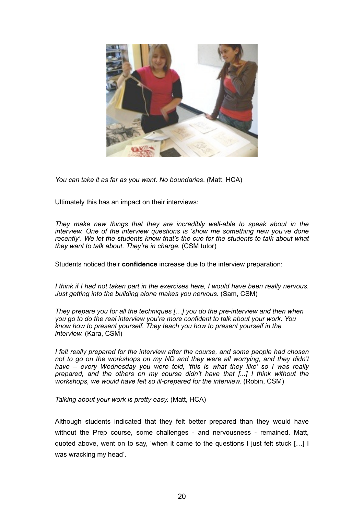

*You can take it as far as you want. No boundaries*. (Matt, HCA)

Ultimately this has an impact on their interviews:

*They make new things that they are incredibly well-able to speak about in the interview. One of the interview questions is 'show me something new you've done recently'. We let the students know that's the cue for the students to talk about what they want to talk about. They're in charge.* (CSM tutor)

Students noticed their **confidence** increase due to the interview preparation:

*I think if I had not taken part in the exercises here, I would have been really nervous. Just getting into the building alone makes you nervous.* (Sam, CSM)

*They prepare you for all the techniques […] you do the pre-interview and then when you go to do the real interview you're more confident to talk about your work. You know how to present yourself. They teach you how to present yourself in the interview.* (Kara, CSM)

*I felt really prepared for the interview after the course, and some people had chosen not to go on the workshops on my ND and they were all worrying, and they didn't have – every Wednesday you were told, 'this is what they like' so I was really prepared, and the others on my course didn't have that [...] I think without the workshops, we would have felt so ill-prepared for the interview.* (Robin, CSM)

*Talking about your work is pretty easy.* (Matt, HCA)

Although students indicated that they felt better prepared than they would have without the Prep course, some challenges - and nervousness - remained. Matt, quoted above, went on to say, 'when it came to the questions I just felt stuck […] I was wracking my head'.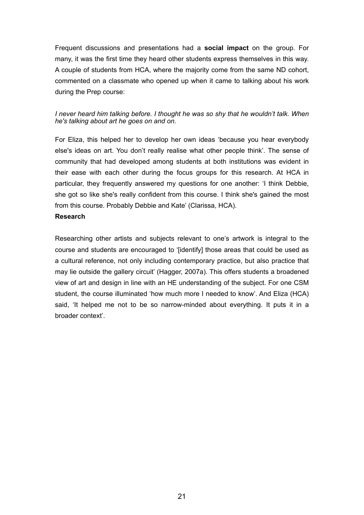Frequent discussions and presentations had a **social impact** on the group. For many, it was the first time they heard other students express themselves in this way. A couple of students from HCA, where the majority come from the same ND cohort, commented on a classmate who opened up when it came to talking about his work during the Prep course:

### *I never heard him talking before. I thought he was so shy that he wouldn't talk. When he's talking about art he goes on and on.*

For Eliza, this helped her to develop her own ideas 'because you hear everybody else's ideas on art. You don't really realise what other people think'. The sense of community that had developed among students at both institutions was evident in their ease with each other during the focus groups for this research. At HCA in particular, they frequently answered my questions for one another: 'I think Debbie, she got so like she's really confident from this course. I think she's gained the most from this course. Probably Debbie and Kate' (Clarissa, HCA).

#### **Research**

Researching other artists and subjects relevant to one's artwork is integral to the course and students are encouraged to '[identify] those areas that could be used as a cultural reference, not only including contemporary practice, but also practice that may lie outside the gallery circuit' (Hagger, 2007a). This offers students a broadened view of art and design in line with an HE understanding of the subject. For one CSM student, the course illuminated 'how much more I needed to know'. And Eliza (HCA) said, 'It helped me not to be so narrow-minded about everything. It puts it in a broader context'.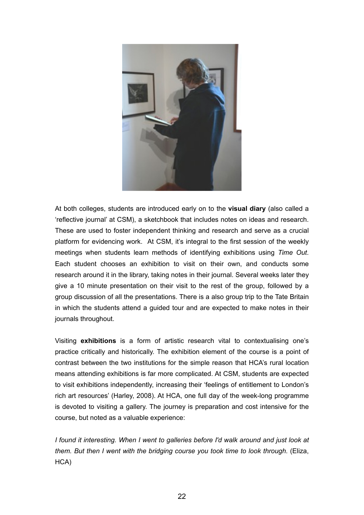

At both colleges, students are introduced early on to the **visual diary** (also called a 'reflective journal' at CSM), a sketchbook that includes notes on ideas and research. These are used to foster independent thinking and research and serve as a crucial platform for evidencing work. At CSM, it's integral to the first session of the weekly meetings when students learn methods of identifying exhibitions using *Time Out*. Each student chooses an exhibition to visit on their own, and conducts some research around it in the library, taking notes in their journal. Several weeks later they give a 10 minute presentation on their visit to the rest of the group, followed by a group discussion of all the presentations. There is a also group trip to the Tate Britain in which the students attend a guided tour and are expected to make notes in their journals throughout.

Visiting **exhibitions** is a form of artistic research vital to contextualising one's practice critically and historically. The exhibition element of the course is a point of contrast between the two institutions for the simple reason that HCA's rural location means attending exhibitions is far more complicated. At CSM, students are expected to visit exhibitions independently, increasing their 'feelings of entitlement to London's rich art resources' (Harley, 2008). At HCA, one full day of the week-long programme is devoted to visiting a gallery. The journey is preparation and cost intensive for the course, but noted as a valuable experience:

*I found it interesting. When I went to galleries before I'd walk around and just look at them. But then I went with the bridging course you took time to look through.* (Eliza, HCA)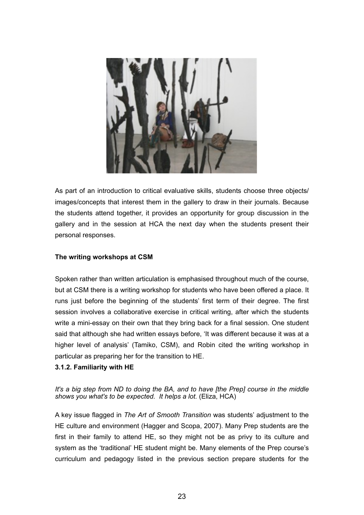

As part of an introduction to critical evaluative skills, students choose three objects/ images/concepts that interest them in the gallery to draw in their journals. Because the students attend together, it provides an opportunity for group discussion in the gallery and in the session at HCA the next day when the students present their personal responses.

### **The writing workshops at CSM**

Spoken rather than written articulation is emphasised throughout much of the course, but at CSM there is a writing workshop for students who have been offered a place. It runs just before the beginning of the students' first term of their degree. The first session involves a collaborative exercise in critical writing, after which the students write a mini-essay on their own that they bring back for a final session. One student said that although she had written essays before, 'It was different because it was at a higher level of analysis' (Tamiko, CSM), and Robin cited the writing workshop in particular as preparing her for the transition to HE.

#### **3.1.2. Familiarity with HE**

*It's a big step from ND to doing the BA, and to have [the Prep] course in the middle shows you what's to be expected. It helps a lot.* (Eliza, HCA)

A key issue flagged in *The Art of Smooth Transition* was students' adjustment to the HE culture and environment (Hagger and Scopa, 2007). Many Prep students are the first in their family to attend HE, so they might not be as privy to its culture and system as the 'traditional' HE student might be. Many elements of the Prep course's curriculum and pedagogy listed in the previous section prepare students for the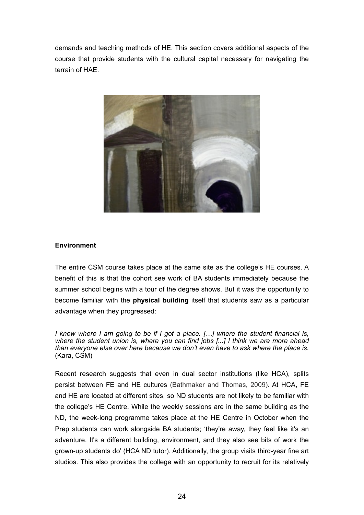demands and teaching methods of HE. This section covers additional aspects of the course that provide students with the cultural capital necessary for navigating the terrain of HAE.



#### **Environment**

The entire CSM course takes place at the same site as the college's HE courses. A benefit of this is that the cohort see work of BA students immediately because the summer school begins with a tour of the degree shows. But it was the opportunity to become familiar with the **physical building** itself that students saw as a particular advantage when they progressed:

*I knew where I am going to be if I got a place. […] where the student financial is, where the student union is, where you can find jobs [...] I think we are more ahead than everyone else over here because we don't even have to ask where the place is.*  (Kara, CSM)

Recent research suggests that even in dual sector institutions (like HCA), splits persist between FE and HE cultures (Bathmaker and Thomas, 2009). At HCA, FE and HE are located at different sites, so ND students are not likely to be familiar with the college's HE Centre. While the weekly sessions are in the same building as the ND, the week-long programme takes place at the HE Centre in October when the Prep students can work alongside BA students; 'they're away, they feel like it's an adventure. It's a different building, environment, and they also see bits of work the grown-up students do' (HCA ND tutor). Additionally, the group visits third-year fine art studios. This also provides the college with an opportunity to recruit for its relatively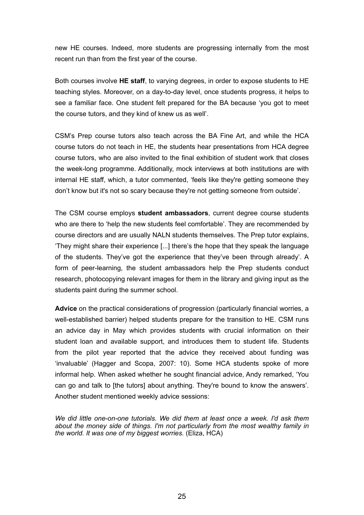new HE courses. Indeed, more students are progressing internally from the most recent run than from the first year of the course.

Both courses involve **HE staff**, to varying degrees, in order to expose students to HE teaching styles. Moreover, on a day-to-day level, once students progress, it helps to see a familiar face. One student felt prepared for the BA because 'you got to meet the course tutors, and they kind of knew us as well'.

CSM's Prep course tutors also teach across the BA Fine Art, and while the HCA course tutors do not teach in HE, the students hear presentations from HCA degree course tutors, who are also invited to the final exhibition of student work that closes the week-long programme. Additionally, mock interviews at both institutions are with internal HE staff, which, a tutor commented, 'feels like they're getting someone they don't know but it's not so scary because they're not getting someone from outside'.

The CSM course employs **student ambassadors**, current degree course students who are there to 'help the new students feel comfortable'. They are recommended by course directors and are usually NALN students themselves. The Prep tutor explains, 'They might share their experience [...] there's the hope that they speak the language of the students. They've got the experience that they've been through already'. A form of peer-learning, the student ambassadors help the Prep students conduct research, photocopying relevant images for them in the library and giving input as the students paint during the summer school.

**Advice** on the practical considerations of progression (particularly financial worries, a well-established barrier) helped students prepare for the transition to HE. CSM runs an advice day in May which provides students with crucial information on their student loan and available support, and introduces them to student life. Students from the pilot year reported that the advice they received about funding was 'invaluable' (Hagger and Scopa, 2007: 10). Some HCA students spoke of more informal help. When asked whether he sought financial advice, Andy remarked, 'You can go and talk to [the tutors] about anything. They're bound to know the answers'. Another student mentioned weekly advice sessions:

*We did little one-on-one tutorials. We did them at least once a week. I'd ask them about the money side of things. I'm not particularly from the most wealthy family in the world. It was one of my biggest worries.* (Eliza, HCA)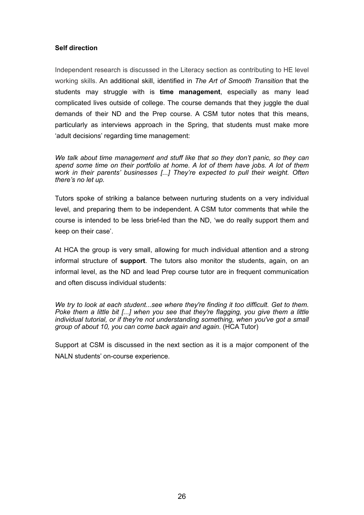### **Self direction**

Independent research is discussed in the Literacy section as contributing to HE level working skills. An additional skill, identified in *The Art of Smooth Transition* that the students may struggle with is **time management**, especially as many lead complicated lives outside of college. The course demands that they juggle the dual demands of their ND and the Prep course. A CSM tutor notes that this means, particularly as interviews approach in the Spring, that students must make more 'adult decisions' regarding time management:

*We talk about time management and stuff like that so they don't panic, so they can spend some time on their portfolio at home. A lot of them have jobs. A lot of them work in their parents' businesses [...] They're expected to pull their weight. Often there's no let up.*

Tutors spoke of striking a balance between nurturing students on a very individual level, and preparing them to be independent. A CSM tutor comments that while the course is intended to be less brief-led than the ND, 'we do really support them and keep on their case'.

At HCA the group is very small, allowing for much individual attention and a strong informal structure of **support**. The tutors also monitor the students, again, on an informal level, as the ND and lead Prep course tutor are in frequent communication and often discuss individual students:

*We try to look at each student...see where they're finding it too difficult. Get to them. Poke them a little bit [...] when you see that they're flagging, you give them a little individual tutorial, or if they're not understanding something, when you've got a small group of about 10, you can come back again and again.* (HCA Tutor)

Support at CSM is discussed in the next section as it is a major component of the NALN students' on-course experience.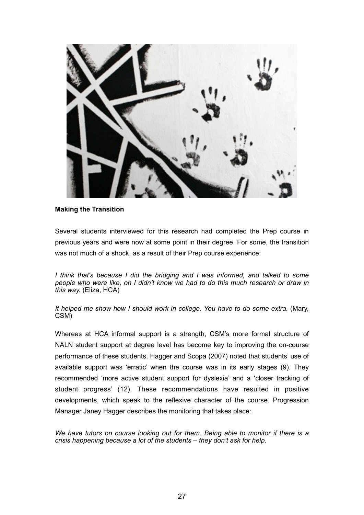

#### **Making the Transition**

Several students interviewed for this research had completed the Prep course in previous years and were now at some point in their degree. For some, the transition was not much of a shock, as a result of their Prep course experience:

*I think that's because I did the bridging and I was informed, and talked to some people who were like, oh I didn't know we had to do this much research or draw in this way.* (Eliza, HCA)

*It helped me show how I should work in college. You have to do some extra.* (Mary, CSM)

Whereas at HCA informal support is a strength, CSM's more formal structure of NALN student support at degree level has become key to improving the on-course performance of these students. Hagger and Scopa (2007) noted that students' use of available support was 'erratic' when the course was in its early stages (9). They recommended 'more active student support for dyslexia' and a 'closer tracking of student progress' (12). These recommendations have resulted in positive developments, which speak to the reflexive character of the course. Progression Manager Janey Hagger describes the monitoring that takes place:

*We have tutors on course looking out for them. Being able to monitor if there is a crisis happening because a lot of the students – they don't ask for help*.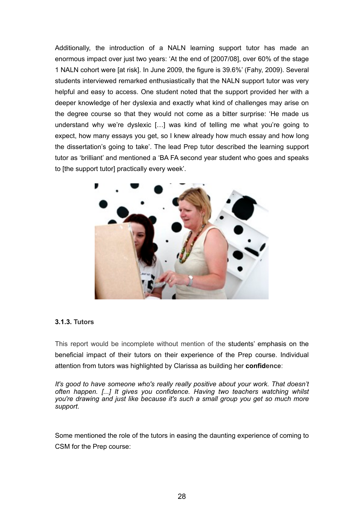Additionally, the introduction of a NALN learning support tutor has made an enormous impact over just two years: 'At the end of [2007/08], over 60% of the stage 1 NALN cohort were [at risk]. In June 2009, the figure is 39.6%' (Fahy, 2009). Several students interviewed remarked enthusiastically that the NALN support tutor was very helpful and easy to access. One student noted that the support provided her with a deeper knowledge of her dyslexia and exactly what kind of challenges may arise on the degree course so that they would not come as a bitter surprise: 'He made us understand why we're dyslexic […] was kind of telling me what you're going to expect, how many essays you get, so I knew already how much essay and how long the dissertation's going to take'. The lead Prep tutor described the learning support tutor as 'brilliant' and mentioned a 'BA FA second year student who goes and speaks to [the support tutor] practically every week'.



#### **3.1.3. Tutors**

This report would be incomplete without mention of the students' emphasis on the beneficial impact of their tutors on their experience of the Prep course. Individual attention from tutors was highlighted by Clarissa as building her **confidence**:

It's good to have someone who's really really positive about your work. That doesn't *often happen. [...] It gives you confidence. Having two teachers watching whilst you're drawing and just like because it's such a small group you get so much more support*.

Some mentioned the role of the tutors in easing the daunting experience of coming to CSM for the Prep course: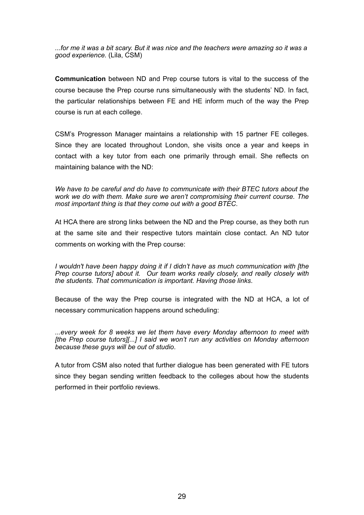*...for me it was a bit scary. But it was nice and the teachers were amazing so it was a good experience.* (Lila, CSM)

**Communication** between ND and Prep course tutors is vital to the success of the course because the Prep course runs simultaneously with the students' ND. In fact, the particular relationships between FE and HE inform much of the way the Prep course is run at each college.

CSM's Progresson Manager maintains a relationship with 15 partner FE colleges. Since they are located throughout London, she visits once a year and keeps in contact with a key tutor from each one primarily through email. She reflects on maintaining balance with the ND:

*We have to be careful and do have to communicate with their BTEC tutors about the work we do with them. Make sure we aren't compromising their current course. The most important thing is that they come out with a good BTEC*.

At HCA there are strong links between the ND and the Prep course, as they both run at the same site and their respective tutors maintain close contact. An ND tutor comments on working with the Prep course:

*I wouldn't have been happy doing it if I didn't have as much communication with [the Prep course tutors] about it. Our team works really closely, and really closely with the students. That communication is important. Having those links*.

Because of the way the Prep course is integrated with the ND at HCA, a lot of necessary communication happens around scheduling:

*...every week for 8 weeks we let them have every Monday afternoon to meet with [the Prep course tutors][...] I said we won't run any activities on Monday afternoon because these guys will be out of studio*.

A tutor from CSM also noted that further dialogue has been generated with FE tutors since they began sending written feedback to the colleges about how the students performed in their portfolio reviews.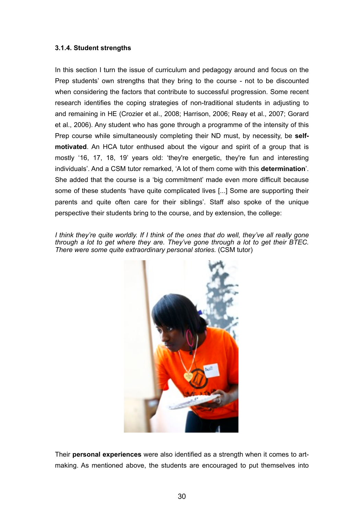#### **3.1.4. Student strengths**

In this section I turn the issue of curriculum and pedagogy around and focus on the Prep students' own strengths that they bring to the course - not to be discounted when considering the factors that contribute to successful progression. Some recent research identifies the coping strategies of non-traditional students in adjusting to and remaining in HE (Crozier et al., 2008; Harrison, 2006; Reay et al., 2007; Gorard et al., 2006). Any student who has gone through a programme of the intensity of this Prep course while simultaneously completing their ND must, by necessity, be **selfmotivated**. An HCA tutor enthused about the vigour and spirit of a group that is mostly '16, 17, 18, 19' years old: 'they're energetic, they're fun and interesting individuals'. And a CSM tutor remarked, 'A lot of them come with this **determination**'. She added that the course is a 'big commitment' made even more difficult because some of these students 'have quite complicated lives [...] Some are supporting their parents and quite often care for their siblings'. Staff also spoke of the unique perspective their students bring to the course, and by extension, the college:

*I think they're quite worldly. If I think of the ones that do well, they've all really gone through a lot to get where they are. They've gone through a lot to get their BTEC. There were some quite extraordinary personal stories.* (CSM tutor)



Their **personal experiences** were also identified as a strength when it comes to artmaking. As mentioned above, the students are encouraged to put themselves into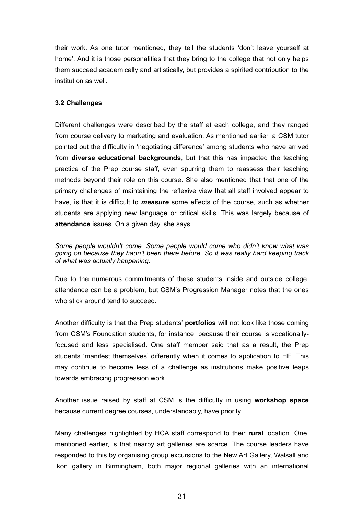their work. As one tutor mentioned, they tell the students 'don't leave yourself at home'. And it is those personalities that they bring to the college that not only helps them succeed academically and artistically, but provides a spirited contribution to the institution as well.

### **3.2 Challenges**

Different challenges were described by the staff at each college, and they ranged from course delivery to marketing and evaluation. As mentioned earlier, a CSM tutor pointed out the difficulty in 'negotiating difference' among students who have arrived from **diverse educational backgrounds**, but that this has impacted the teaching practice of the Prep course staff, even spurring them to reassess their teaching methods beyond their role on this course. She also mentioned that that one of the primary challenges of maintaining the reflexive view that all staff involved appear to have, is that it is difficult to *measure* some effects of the course, such as whether students are applying new language or critical skills. This was largely because of **attendance** issues. On a given day, she says,

*Some people wouldn't come. Some people would come who didn't know what was going on because they hadn't been there before. So it was really hard keeping track of what was actually happening*.

Due to the numerous commitments of these students inside and outside college, attendance can be a problem, but CSM's Progression Manager notes that the ones who stick around tend to succeed.

Another difficulty is that the Prep students' **portfolios** will not look like those coming from CSM's Foundation students, for instance, because their course is vocationallyfocused and less specialised. One staff member said that as a result, the Prep students 'manifest themselves' differently when it comes to application to HE. This may continue to become less of a challenge as institutions make positive leaps towards embracing progression work.

Another issue raised by staff at CSM is the difficulty in using **workshop space** because current degree courses, understandably, have priority.

Many challenges highlighted by HCA staff correspond to their **rural** location. One, mentioned earlier, is that nearby art galleries are scarce. The course leaders have responded to this by organising group excursions to the New Art Gallery, Walsall and Ikon gallery in Birmingham, both major regional galleries with an international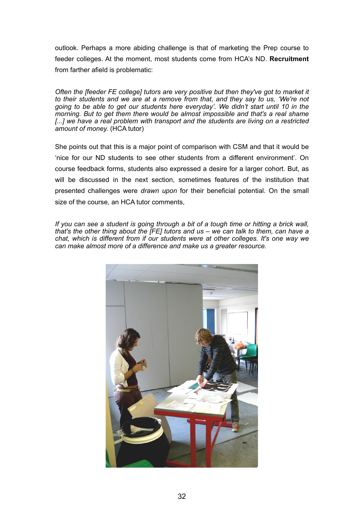outlook. Perhaps a more abiding challenge is that of marketing the Prep course to feeder colleges. At the moment, most students come from HCA's ND. **Recruitment** from farther afield is problematic:

*Often the [feeder FE college] tutors are very positive but then they've got to market it to their students and we are at a remove from that, and they say to us, 'We're not going to be able to get our students here everyday'. We didn't start until 10 in the morning. But to get them there would be almost impossible and that's a real shame*  [...] we have a real problem with transport and the students are living on a restricted *amount of money.* (HCA tutor)

She points out that this is a major point of comparison with CSM and that it would be 'nice for our ND students to see other students from a different environment'. On course feedback forms, students also expressed a desire for a larger cohort. But, as will be discussed in the next section, sometimes features of the institution that presented challenges were *drawn upon* for their beneficial potential. On the small size of the course, an HCA tutor comments,

*If you can see a student is going through a bit of a tough time or hitting a brick wall, that's the other thing about the [FE] tutors and us – we can talk to them, can have a chat, which is different from if our students were at other colleges. It's one way we can make almost more of a difference and make us a greater resource.*

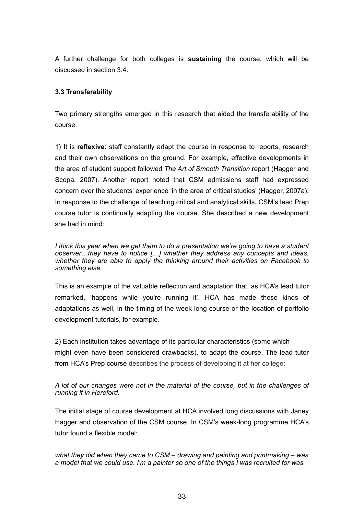A further challenge for both colleges is **sustaining** the course, which will be discussed in section 3.4.

### **3.3 Transferability**

Two primary strengths emerged in this research that aided the transferability of the course:

1) It is **reflexive**: staff constantly adapt the course in response to reports, research and their own observations on the ground. For example, effective developments in the area of student support followed *The Art of Smooth Transition* report (Hagger and Scopa, 2007). Another report noted that CSM admissions staff had expressed concern over the students' experience 'in the area of critical studies' (Hagger, 2007a). In response to the challenge of teaching critical and analytical skills, CSM's lead Prep course tutor is continually adapting the course. She described a new development she had in mind:

*I think this year when we get them to do a presentation we're going to have a student observer…they have to notice […] whether they address any concepts and ideas, whether they are able to apply the thinking around their activities on Facebook to something else.*

This is an example of the valuable reflection and adaptation that, as HCA's lead tutor remarked, 'happens while you're running it'. HCA has made these kinds of adaptations as well, in the timing of the week long course or the location of portfolio development tutorials, for example.

2) Each institution takes advantage of its particular characteristics (some which might even have been considered drawbacks), to adapt the course. The lead tutor from HCA's Prep course describes the process of developing it at her college:

*A lot of our changes were not in the material of the course, but in the challenges of running it in Hereford*.

The initial stage of course development at HCA involved long discussions with Janey Hagger and observation of the CSM course. In CSM's week-long programme HCA's tutor found a flexible model:

*what they did when they came to CSM – drawing and painting and printmaking – was a model that we could use. I'm a painter so one of the things I was recruited for was*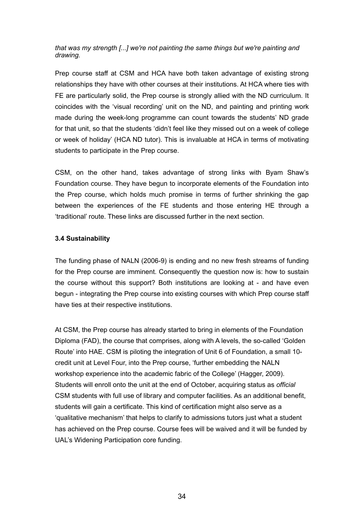*that was my strength [...] we're not painting the same things but we're painting and drawing.* 

Prep course staff at CSM and HCA have both taken advantage of existing strong relationships they have with other courses at their institutions. At HCA where ties with FE are particularly solid, the Prep course is strongly allied with the ND curriculum. It coincides with the 'visual recording' unit on the ND, and painting and printing work made during the week-long programme can count towards the students' ND grade for that unit, so that the students 'didn't feel like they missed out on a week of college or week of holiday' (HCA ND tutor). This is invaluable at HCA in terms of motivating students to participate in the Prep course.

CSM, on the other hand, takes advantage of strong links with Byam Shaw's Foundation course. They have begun to incorporate elements of the Foundation into the Prep course, which holds much promise in terms of further shrinking the gap between the experiences of the FE students and those entering HE through a 'traditional' route. These links are discussed further in the next section.

### **3.4 Sustainability**

The funding phase of NALN (2006-9) is ending and no new fresh streams of funding for the Prep course are imminent. Consequently the question now is: how to sustain the course without this support? Both institutions are looking at - and have even begun - integrating the Prep course into existing courses with which Prep course staff have ties at their respective institutions.

At CSM, the Prep course has already started to bring in elements of the Foundation Diploma (FAD), the course that comprises, along with A levels, the so-called 'Golden Route' into HAE. CSM is piloting the integration of Unit 6 of Foundation, a small 10 credit unit at Level Four, into the Prep course, 'further embedding the NALN workshop experience into the academic fabric of the College' (Hagger, 2009). Students will enroll onto the unit at the end of October, acquiring status as *official*  CSM students with full use of library and computer facilities. As an additional benefit, students will gain a certificate. This kind of certification might also serve as a 'qualitative mechanism' that helps to clarify to admissions tutors just what a student has achieved on the Prep course. Course fees will be waived and it will be funded by UAL's Widening Participation core funding.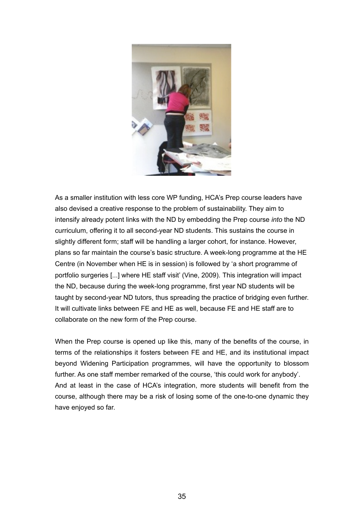

As a smaller institution with less core WP funding, HCA's Prep course leaders have also devised a creative response to the problem of sustainability. They aim to intensify already potent links with the ND by embedding the Prep course *into* the ND curriculum, offering it to all second-year ND students. This sustains the course in slightly different form; staff will be handling a larger cohort, for instance. However, plans so far maintain the course's basic structure. A week-long programme at the HE Centre (in November when HE is in session) is followed by 'a short programme of portfolio surgeries [...] where HE staff visit' (Vine, 2009). This integration will impact the ND, because during the week-long programme, first year ND students will be taught by second-year ND tutors, thus spreading the practice of bridging even further. It will cultivate links between FE and HE as well, because FE and HE staff are to collaborate on the new form of the Prep course.

When the Prep course is opened up like this, many of the benefits of the course, in terms of the relationships it fosters between FE and HE, and its institutional impact beyond Widening Participation programmes, will have the opportunity to blossom further. As one staff member remarked of the course, 'this could work for anybody'. And at least in the case of HCA's integration, more students will benefit from the course, although there may be a risk of losing some of the one-to-one dynamic they have enjoyed so far.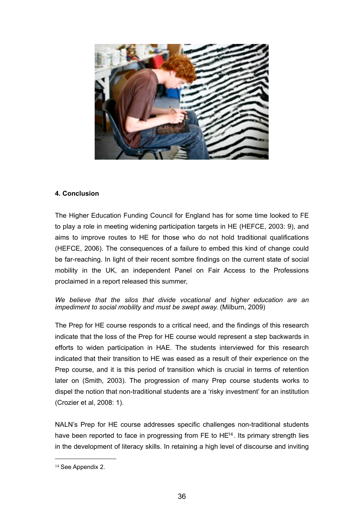

# **4. Conclusion**

The Higher Education Funding Council for England has for some time looked to FE to play a role in meeting widening participation targets in HE (HEFCE, 2003: 9), and aims to improve routes to HE for those who do not hold traditional qualifications (HEFCE, 2006). The consequences of a failure to embed this kind of change could be far-reaching. In light of their recent sombre findings on the current state of social mobility in the UK, an independent Panel on Fair Access to the Professions proclaimed in a report released this summer,

*We believe that the silos that divide vocational and higher education are an impediment to social mobility and must be swept away.* (Milburn, 2009)

The Prep for HE course responds to a critical need, and the findings of this research indicate that the loss of the Prep for HE course would represent a step backwards in efforts to widen participation in HAE. The students interviewed for this research indicated that their transition to HE was eased as a result of their experience on the Prep course, and it is this period of transition which is crucial in terms of retention later on (Smith, 2003). The progression of many Prep course students works to dispel the notion that non-traditional students are a 'risky investment' for an institution (Crozier et al, 2008: 1).

NALN's Prep for HE course addresses specific challenges non-traditional students have been reported to face in progressing from  $FE$  to  $HE^{14}$ . Its primary strength lies in the development of literacy skills. In retaining a high level of discourse and inviting

<span id="page-35-0"></span><sup>&</sup>lt;sup>14</sup> See Appendix 2.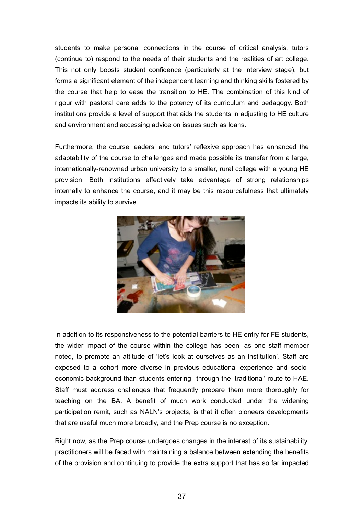students to make personal connections in the course of critical analysis, tutors (continue to) respond to the needs of their students and the realities of art college. This not only boosts student confidence (particularly at the interview stage), but forms a significant element of the independent learning and thinking skills fostered by the course that help to ease the transition to HE. The combination of this kind of rigour with pastoral care adds to the potency of its curriculum and pedagogy. Both institutions provide a level of support that aids the students in adjusting to HE culture and environment and accessing advice on issues such as loans.

Furthermore, the course leaders' and tutors' reflexive approach has enhanced the adaptability of the course to challenges and made possible its transfer from a large, internationally-renowned urban university to a smaller, rural college with a young HE provision. Both institutions effectively take advantage of strong relationships internally to enhance the course, and it may be this resourcefulness that ultimately impacts its ability to survive.



In addition to its responsiveness to the potential barriers to HE entry for FE students, the wider impact of the course within the college has been, as one staff member noted, to promote an attitude of 'let's look at ourselves as an institution'. Staff are exposed to a cohort more diverse in previous educational experience and socioeconomic background than students entering through the 'traditional' route to HAE. Staff must address challenges that frequently prepare them more thoroughly for teaching on the BA. A benefit of much work conducted under the widening participation remit, such as NALN's projects, is that it often pioneers developments that are useful much more broadly, and the Prep course is no exception.

Right now, as the Prep course undergoes changes in the interest of its sustainability, practitioners will be faced with maintaining a balance between extending the benefits of the provision and continuing to provide the extra support that has so far impacted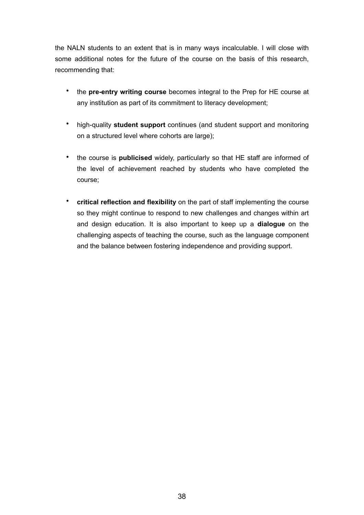the NALN students to an extent that is in many ways incalculable. I will close with some additional notes for the future of the course on the basis of this research, recommending that:

- the **pre-entry writing course** becomes integral to the Prep for HE course at any institution as part of its commitment to literacy development;
- high-quality **student support** continues (and student support and monitoring on a structured level where cohorts are large);
- the course is **publicised** widely, particularly so that HE staff are informed of the level of achievement reached by students who have completed the course;
- **critical reflection and flexibility** on the part of staff implementing the course so they might continue to respond to new challenges and changes within art and design education. It is also important to keep up a **dialogue** on the challenging aspects of teaching the course, such as the language component and the balance between fostering independence and providing support.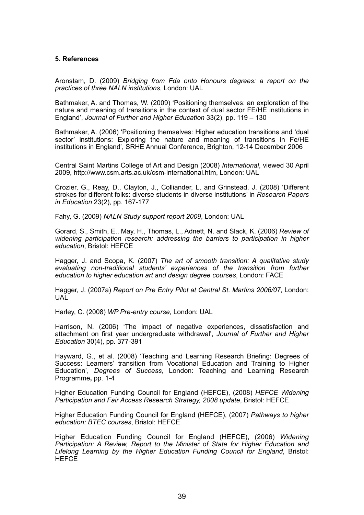#### **5. References**

Aronstam, D. (2009) *Bridging from Fda onto Honours degrees: a report on the practices of three NALN institutions*, London: UAL

Bathmaker, A. and Thomas, W. (2009) 'Positioning themselves: an exploration of the nature and meaning of transitions in the context of dual sector FE/HE institutions in England', *Journal of Further and Higher Education* 33(2), pp. 119 – 130

Bathmaker, A. (2006) 'Positioning themselves: Higher education transitions and 'dual sector' institutions: Exploring the nature and meaning of transitions in Fe/HE institutions in England', SRHE Annual Conference, Brighton, 12-14 December 2006

Central Saint Martins College of Art and Design (2008) *International*, viewed 30 April 2009, <http://www.csm.arts.ac.uk/csm-international.htm>, London: UAL

Crozier, G., Reay, D., Clayton, J., Colliander, L. and Grinstead, J. (2008) 'Different strokes for different folks: diverse students in diverse institutions' in *Research Papers in Education* 23(2), pp. 167-177

Fahy, G. (2009) *NALN Study support report 2009*, London: UAL

Gorard, S., Smith, E., May, H., Thomas, L., Adnett, N. and Slack, K. (2006) *Review of widening participation research: addressing the barriers to participation in higher education*, Bristol: HEFCE

Hagger, J. and Scopa, K. (2007) *The art of smooth transition: A qualitative study evaluating non-traditional students' experiences of the transition from further education to higher education art and design degree courses*, London: FACE

Hagger, J. (2007a) *Report on Pre Entry Pilot at Central St. Martins 2006/07*, London: UAL

Harley, C. (2008) *WP Pre-entry course*, London: UAL

Harrison, N. (2006) 'The impact of negative experiences, dissatisfaction and attachment on first year undergraduate withdrawal', *Journal of Further and Higher Education* 30(4), pp. 377-391

Hayward, G., et al. (2008) 'Teaching and Learning Research Briefing: Degrees of Success: Learners' transition from Vocational Education and Training to Higher Education', *Degrees of Success*, London: Teaching and Learning Research Programme**,** pp. 1-4

Higher Education Funding Council for England (HEFCE), (2008) *HEFCE Widening Participation and Fair Access Research Strategy, 2008 update*, Bristol: HEFCE

Higher Education Funding Council for England (HEFCE), (2007) *Pathways to higher education: BTEC courses*, Bristol: HEFCE

Higher Education Funding Council for England (HEFCE), (2006) *Widening Participation: A Review, Report to the Minister of State for Higher Education and Lifelong Learning by the Higher Education Funding Council for England*, Bristol: **HEFCE**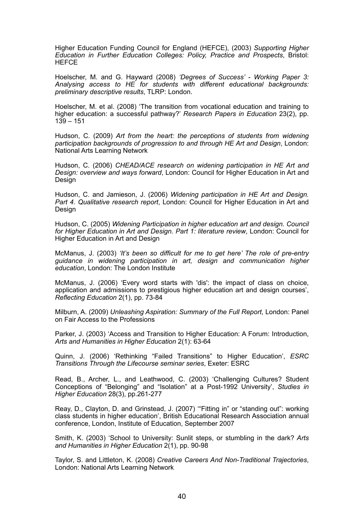Higher Education Funding Council for England (HEFCE), (2003) *Supporting Higher Education in Further Education Colleges: Policy, Practice and Prospects*, Bristol: **HEFCE** 

Hoelscher, M. and G. Hayward (2008) *'Degrees of Success' - Working Paper 3: Analysing access to HE for students with different educational backgrounds: preliminary descriptive results*, TLRP: London.

Hoelscher, M. et al. (2008) ['The transition from vocational education and training to](http://www.informaworld.com/smpp/content%7Edb=all%7Econtent=a793750374) [higher education: a successful pathway?'](http://www.informaworld.com/smpp/content%7Edb=all%7Econtent=a793750374) *Research Papers in Education* 23(2), pp.  $139 - 151$ 

Hudson, C. (2009) *Art from the heart: the perceptions of students from widening participation backgrounds of progression to and through HE Art and Design*, London: National Arts Learning Network

Hudson, C. (2006) *CHEAD/ACE research on widening participation in HE Art and Design: overview and ways forward*, London: Council for Higher Education in Art and **Design** 

Hudson, C. and Jamieson, J. (2006) *Widening participation in HE Art and Design. Part 4. Qualitative research report*, London: Council for Higher Education in Art and Design

Hudson, C. (2005) *Widening Participation in higher education art and design. Council for Higher Education in Art and Design. Part 1: literature review*, London: Council for Higher Education in Art and Design

McManus, J. (2003) *'It's been so difficult for me to get here' The role of pre-entry guidance in widening participation in art, design and communication higher education*, London: The London Institute

McManus, J. (2006) 'Every word starts with 'dis': the impact of class on choice, application and admissions to prestigious higher education art and design courses', *Reflecting Education* 2(1), pp. 73-84

Milburn, A. (2009) *Unleashing Aspiration: Summary of the Full Report*, London: Panel on Fair Access to the Professions

Parker, J. (2003) 'Access and Transition to Higher Education: A Forum: Introduction, *Arts and Humanities in Higher Education* 2(1): 63-64

Quinn, J. (2006) 'Rethinking "Failed Transitions" to Higher Education', *ESRC Transitions Through the Lifecourse seminar series*, Exeter: ESRC

Read, B., Archer, L., and Leathwood, C. (2003) 'Challenging Cultures? Student Conceptions of "Belonging" and "Isolation" at a Post-1992 University', *Studies in Higher Education* 28(3), pp.261-277

Reay, D., Clayton, D. and Grinstead, J. (2007) '"Fitting in" or "standing out": working class students in higher education', British Educational Research Association annual conference, London, Institute of Education, September 2007

Smith, K. (2003) 'School to University: Sunlit steps, or stumbling in the dark? *Arts and Humanities in Higher Education* 2(1), pp. 90-98

Taylor, S. and Littleton, K. (2008) *Creative Careers And Non-Traditional Trajectories*, London: National Arts Learning Network